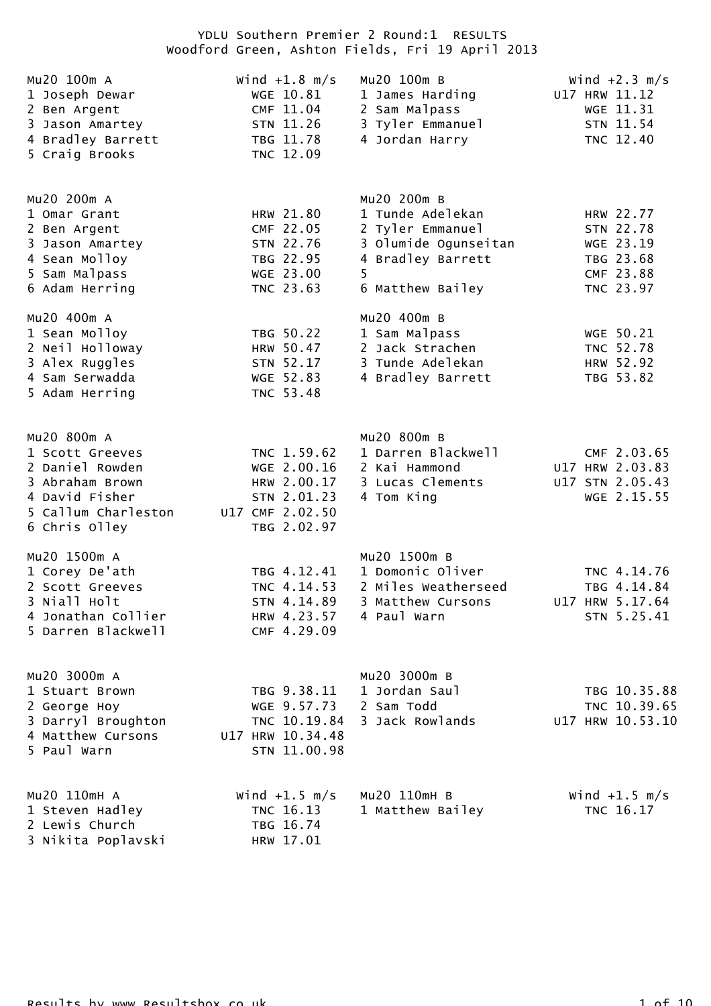| Mu20 100m A<br>1 Joseph Dewar<br>2 Ben Argent<br>3 Jason Amartey<br>4 Bradley Barrett<br>5 Craig Brooks                        | Wind $+1.8$ m/s<br>WGE 10.81<br>CMF 11.04<br>STN 11.26<br>TBG 11.78<br>TNC 12.09           | Mu20 100m B<br>1 James Harding<br>2 Sam Malpass<br>3 Tyler Emmanuel<br>4 Jordan Harry                                     | Wind $+2.3$ m/s<br>U17 HRW 11.12<br>WGE 11.31<br>STN 11.54<br>TNC 12.40    |
|--------------------------------------------------------------------------------------------------------------------------------|--------------------------------------------------------------------------------------------|---------------------------------------------------------------------------------------------------------------------------|----------------------------------------------------------------------------|
| Mu20 200m A<br>1 Omar Grant<br>2 Ben Argent<br>3 Jason Amartey<br>4 Sean Molloy<br>5 Sam Malpass<br>6 Adam Herring             | HRW 21.80<br>CMF 22.05<br>STN 22.76<br>TBG 22.95<br>WGE 23.00<br>TNC 23.63                 | Mu20 200m B<br>1 Tunde Adelekan<br>2 Tyler Emmanuel<br>3 Olumide Ogunseitan<br>4 Bradley Barrett<br>5<br>6 Matthew Bailey | HRW 22.77<br>STN 22.78<br>WGE 23.19<br>TBG 23.68<br>CMF 23.88<br>TNC 23.97 |
| Mu20 400m A<br>1 Sean Molloy<br>2 Neil Holloway<br>3 Alex Ruggles<br>4 Sam Serwadda<br>5 Adam Herring                          | TBG 50.22<br>HRW 50.47<br>STN 52.17<br>WGE 52.83<br>TNC 53.48                              | Mu20 400m B<br>1 Sam Malpass<br>2 Jack Strachen<br>3 Tunde Adelekan<br>4 Bradley Barrett                                  | WGE 50.21<br>TNC 52.78<br>HRW 52.92<br>TBG 53.82                           |
| Mu20 800m A<br>1 Scott Greeves<br>2 Daniel Rowden<br>3 Abraham Brown<br>4 David Fisher<br>5 Callum Charleston<br>6 Chris Olley | TNC 1.59.62<br>WGE 2.00.16<br>HRW 2.00.17<br>STN 2.01.23<br>U17 CMF 2.02.50<br>TBG 2.02.97 | Mu20 800m B<br>1 Darren Blackwell<br>2 Kai Hammond<br>3 Lucas Clements<br>4 Tom King                                      | CMF 2.03.65<br>U17 HRW 2.03.83<br>U17 STN 2.05.43<br>WGE 2.15.55           |
| Mu20 1500m A<br>1 Corey De'ath<br>2 Scott Greeves<br>3 Niall Holt<br>4 Jonathan Collier<br>5 Darren Blackwell                  | TBG 4.12.41<br>TNC 4.14.53<br>STN 4.14.89<br>HRW 4.23.57<br>CMF 4.29.09                    | Mu20 1500m B<br>1 Domonic Oliver<br>2 Miles Weatherseed<br>3 Matthew Cursons<br>4 Paul Warn                               | TNC 4.14.76<br>TBG 4.14.84<br>U17 HRW 5.17.64<br>STN 5.25.41               |
| Mu20 3000m A<br>1 Stuart Brown<br>2 George Hoy<br>3 Darryl Broughton<br>4 Matthew Cursons<br>5 Paul Warn                       | TBG 9.38.11<br>WGE 9.57.73<br>TNC 10.19.84<br>U17 HRW 10.34.48<br>STN 11.00.98             | Mu20 3000m B<br>1 Jordan Saul<br>2 Sam Todd<br>3 Jack Rowlands                                                            | TBG 10.35.88<br>TNC 10.39.65<br>U17 HRW 10.53.10                           |
| Mu20 110mH A<br>1 Steven Hadley<br>2 Lewis Church<br>3 Nikita Poplavski                                                        | Wind $+1.5$ m/s<br>TNC 16.13<br>TBG 16.74<br>HRW 17.01                                     | Mu20 110mH B<br>1 Matthew Bailey                                                                                          | Wind $+1.5$ m/s<br>TNC 16.17                                               |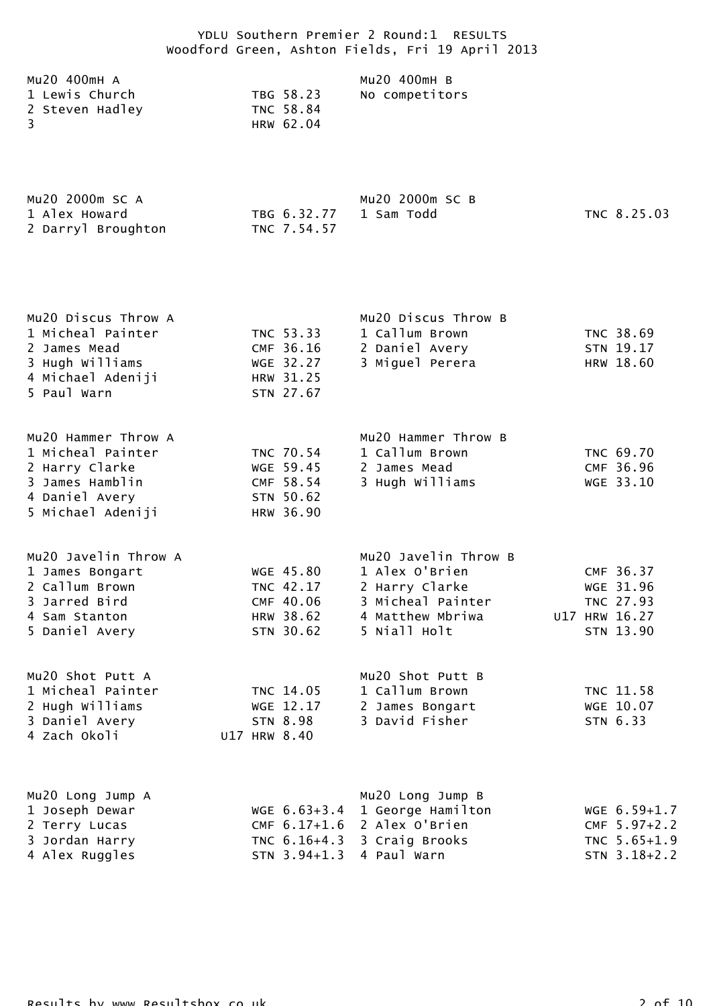| Mu20 400mH A    |           | Mu20 400mH B   |
|-----------------|-----------|----------------|
| 1 Lewis Church  | TBG 58.23 | No competitors |
| 2 Steven Hadley | TNC 58.84 |                |
| -3              | HRW 62.04 |                |
|                 |           |                |

| Mu20 2000m SC A    |                        | Mu20 2000m SC B |             |
|--------------------|------------------------|-----------------|-------------|
| 1 Alex Howard      | TBG 6.32.77 1 Sam Todd |                 | TNC 8.25.03 |
| 2 Darryl Broughton | TNC 7.54.57            |                 |             |

| Mu20 Discus Throw A<br>1 Micheal Painter<br>2 James Mead<br>3 Hugh Williams<br>4 Michael Adeniji | TNC 53.33<br>CMF 36.16<br>WGE 32.27<br>HRW 31.25 | Mu20 Discus Throw B<br>1 Callum Brown<br>2 Daniel Avery<br>3 Miguel Perera | TNC 38.69<br>STN 19.17<br>HRW 18.60 |
|--------------------------------------------------------------------------------------------------|--------------------------------------------------|----------------------------------------------------------------------------|-------------------------------------|
| 5 Paul Warn<br>Mu20 Hammer Throw A                                                               | STN 27.67                                        | Mu20 Hammer Throw B                                                        |                                     |

| 1 Micheal Painter | TNC 70.54 | 1 Callum Brown  | TNC 69.70 |
|-------------------|-----------|-----------------|-----------|
| 2 Harry Clarke    | WGE 59.45 | 2 James Mead    | CMF 36.96 |
| 3 James Hamblin   | CMF 58.54 | 3 Hugh Williams | WGE 33.10 |
| 4 Daniel Avery    | STN 50.62 |                 |           |
| 5 Michael Adeniji | HRW 36.90 |                 |           |

| Mu2O Javelin Throw A |           | Mu20 Javelin Throw B                                  |  |               |
|----------------------|-----------|-------------------------------------------------------|--|---------------|
| 1 James Bongart      | WGE 45.80 | 1 Alex O'Brien                                        |  | CMF 36.37     |
| 2 Callum Brown       | TNC 42.17 | 2 Harry Clarke                                        |  | WGE 31.96     |
| 3 Jarred Bird        | CMF 40.06 | 3 Micheal Painter                                     |  | TNC 27.93     |
| 4 Sam Stanton        | HRW 38.62 | 4 Matthew Mbriwa                                      |  | U17 HRW 16.27 |
| 5 Daniel Avery       | STN 30.62 | 5 Niall Holt                                          |  | STN 13.90     |
|                      |           |                                                       |  |               |
| Mu20 Shot Putt A     |           | $MII$ $20$ $Shot$ $PII$ <sup><math>+</math></sup> $R$ |  |               |

| MULU SHUL FULL A  |              | MUZU SHUL FULL B |           |
|-------------------|--------------|------------------|-----------|
| 1 Micheal Painter | TNC 14.05    | 1 Callum Brown   | TNC 11.58 |
| 2 Hugh Williams   | WGE 12.17    | 2 James Bongart  | WGE 10.07 |
| 3 Daniel Avery    | STN 8.98     | 3 David Fisher   | STN 6.33  |
| 4 Zach Okoli      | U17 HRW 8.40 |                  |           |

| Mu20 Long Jump A |                            | Mu20 Long Jump B                 |                  |
|------------------|----------------------------|----------------------------------|------------------|
| 1 Joseph Dewar   |                            | WGE $6.63+3.4$ 1 George Hamilton | $WGE$ 6.59+1.7   |
| 2 Terry Lucas    |                            | CMF $6.17+1.6$ 2 Alex O'Brien    | $CMF 5.97+2.2$   |
| 3 Jordan Harry   |                            | TNC $6.16+4.3$ 3 Craig Brooks    | TNC 5.65+1.9     |
| 4 Alex Ruggles   | $STN$ 3.94+1.3 4 Paul Warn |                                  | $STN$ $3.18+2.2$ |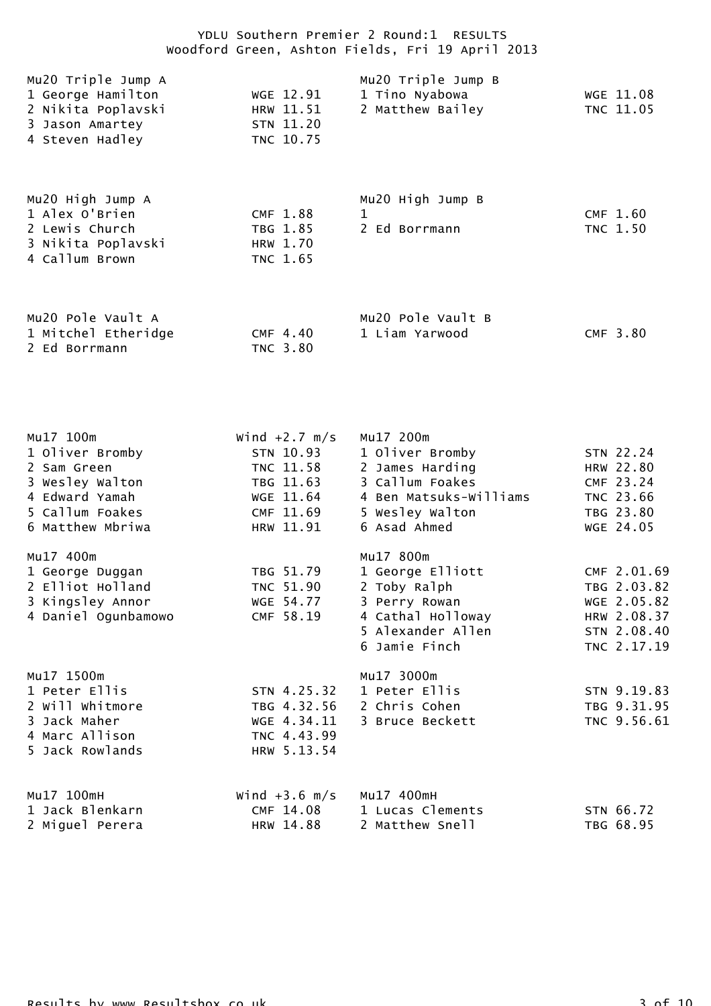| Mu20 Triple Jump A<br>1 George Hamilton<br>2 Nikita Poplavski<br>3 Jason Amartey<br>4 Steven Hadley                     | WGE 12.91<br>HRW 11.51<br>STN 11.20<br>TNC 10.75                                              | Mu20 Triple Jump B<br>1 Tino Nyabowa<br>2 Matthew Bailey                                                                        | WGE 11.08<br>TNC 11.05                                                                 |
|-------------------------------------------------------------------------------------------------------------------------|-----------------------------------------------------------------------------------------------|---------------------------------------------------------------------------------------------------------------------------------|----------------------------------------------------------------------------------------|
| Mu20 High Jump A<br>1 Alex O'Brien<br>2 Lewis Church<br>3 Nikita Poplavski<br>4 Callum Brown                            | CMF 1.88<br>TBG 1.85<br>HRW 1.70<br>TNC 1.65                                                  | Mu20 High Jump B<br>1<br>2 Ed Borrmann                                                                                          | CMF 1.60<br>TNC 1.50                                                                   |
| Mu20 Pole Vault A<br>1 Mitchel Etheridge<br>2 Ed Borrmann                                                               | CMF 4.40<br>TNC 3.80                                                                          | Mu20 Pole Vault B<br>1 Liam Yarwood                                                                                             | CMF 3.80                                                                               |
| Mu17 100m<br>1 Oliver Bromby<br>2 Sam Green<br>3 Wesley Walton<br>4 Edward Yamah<br>5 Callum Foakes<br>6 Matthew Mbriwa | Wind $+2.7$ m/s<br>STN 10.93<br>TNC 11.58<br>TBG 11.63<br>WGE 11.64<br>CMF 11.69<br>HRW 11.91 | Mu17 200m<br>1 Oliver Bromby<br>2 James Harding<br>3 Callum Foakes<br>4 Ben Matsuks-Williams<br>5 Wesley Walton<br>6 Asad Ahmed | STN 22.24<br>HRW 22.80<br>CMF 23.24<br>TNC 23.66<br>TBG 23.80<br>WGE 24.05             |
| Mu17 400m<br>1 George Duggan<br>2 Elliot Holland<br>3 Kingsley Annor<br>4 Daniel Ogunbamowo                             | TBG 51.79<br>TNC 51.90<br>WGE 54.77<br>CMF 58.19                                              | Mu17 800m<br>1 George Elliott<br>2 Toby Ralph<br>3 Perry Rowan<br>4 Cathal Holloway<br>5 Alexander Allen<br>6 Jamie Finch       | CMF 2.01.69<br>TBG 2.03.82<br>WGE 2.05.82<br>HRW 2.08.37<br>STN 2.08.40<br>TNC 2.17.19 |
| Mu17 1500m<br>1 Peter Ellis<br>2 Will Whitmore<br>3 Jack Maher<br>4 Marc Allison<br>5 Jack Rowlands                     | STN 4.25.32<br>WGE 4.34.11<br>TNC 4.43.99<br>HRW 5.13.54                                      | Mu17 3000m<br>1 Peter Ellis<br>TBG 4.32.56 2 Chris Cohen<br>3 Bruce Beckett                                                     | STN 9.19.83<br>TBG 9.31.95<br>TNC 9.56.61                                              |
| Mu17 100mH<br>1 Jack Blenkarn<br>2 Miguel Perera                                                                        | Wind $+3.6$ m/s<br>CMF 14.08<br>HRW 14.88                                                     | Mu17 400mH<br>1 Lucas Clements<br>2 Matthew Snell                                                                               | STN 66.72<br>TBG 68.95                                                                 |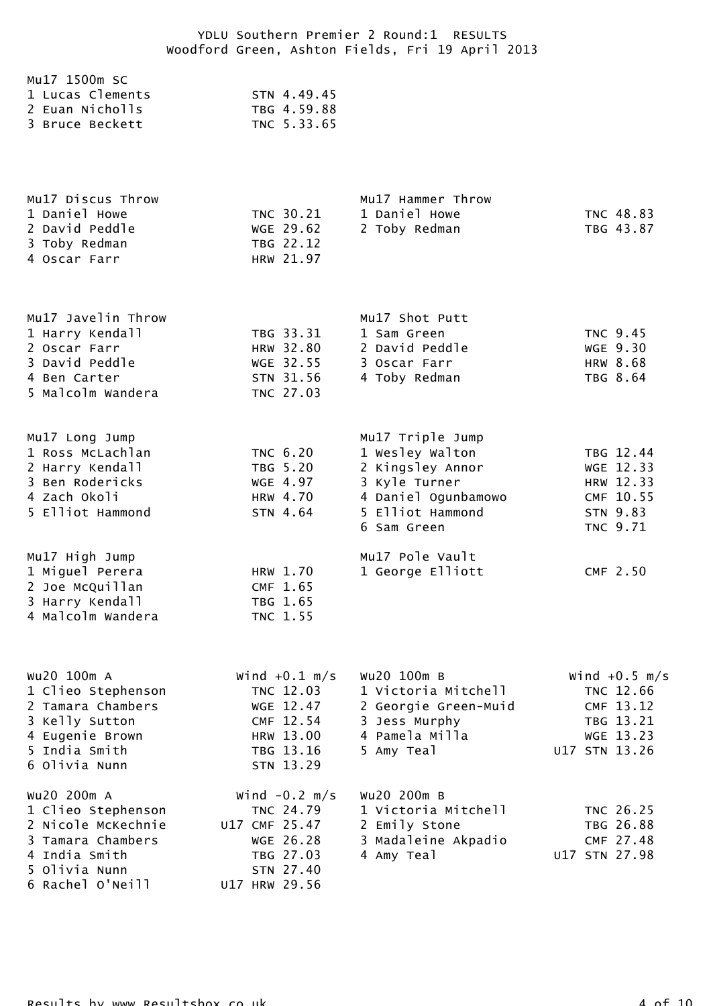| Mu17 1500m SC    |             |
|------------------|-------------|
| 1 Lucas Clements | STN 4.49.45 |
| 2 Euan Nicholls  | TBG 4.59.88 |
| 3 Bruce Beckett  | TNC 5.33.65 |
|                  |             |

| Mu17 Hammer Throw          |
|----------------------------|
| 1 Daniel Howe<br>TNC 48.83 |
| TBG 43.87<br>2 Toby Redman |
|                            |
|                            |
|                            |

| Mu17 Javelin Throw |           | Mu17 Shot Putt |          |
|--------------------|-----------|----------------|----------|
| 1 Harry Kendall    | TBG 33.31 | 1 Sam Green    | TNC 9.45 |
| 2 Oscar Farr       | HRW 32.80 | 2 David Peddle | WGE 9.30 |
| 3 David Peddle     | WGE 32.55 | 3 Oscar Farr   | HRW 8.68 |
| 4 Ben Carter       | STN 31.56 | 4 Toby Redman  | TBG 8.64 |
| 5 Malcolm Wandera  | TNC 27.03 |                |          |
|                    |           |                |          |

| Mu17 Long Jump<br>1 Ross McLachlan<br>2 Harry Kendall<br>3 Ben Rodericks<br>4 Zach Okoli<br>5 Elliot Hammond | TNC 6.20<br>TBG 5.20<br>WGE 4.97<br>HRW 4.70<br>STN 4.64 | Mu17 Triple Jump<br>1 Wesley Walton<br>2 Kingsley Annor<br>3 Kyle Turner<br>4 Daniel Ogunbamowo<br>5 Elliot Hammond<br>6 Sam Green | TBG 12.44<br>WGE 12.33<br>HRW 12.33<br>CMF 10.55<br>STN 9.83<br>TNC 9.71 |
|--------------------------------------------------------------------------------------------------------------|----------------------------------------------------------|------------------------------------------------------------------------------------------------------------------------------------|--------------------------------------------------------------------------|
| Mu17 High Jump<br>1 Miguel Perera<br>2 Joe McQuillan<br>3 Harry Kendall<br>4 Malcolm Wandera                 | HRW 1.70<br>CMF 1.65<br>TBG 1.65<br>TNC 1.55             | Mu17 Pole Vault<br>1 George Elliott                                                                                                | CMF 2.50                                                                 |

| Wu20 100m A        | Wind $+0.1$ m/s | Wu20 100m B          | Wind $+0.5$ m/s |
|--------------------|-----------------|----------------------|-----------------|
| 1 Clieo Stephenson | TNC 12.03       | 1 Victoria Mitchell  | TNC 12.66       |
| 2 Tamara Chambers  | WGE 12.47       | 2 Georgie Green-Muid | CMF 13.12       |
| 3 Kelly Sutton     | CMF 12.54       | 3 Jess Murphy        | TBG 13.21       |
| 4 Eugenie Brown    | HRW 13.00       | 4 Pamela Milla       | WGE 13.23       |
| 5 India Smith      | TBG 13.16       | 5 Amy Teal           | U17 STN 13.26   |
| 6 Olivia Nunn      | STN 13.29       |                      |                 |
| WU20 200m A        | Wind $-0.2$ m/s | Wu20 200m B          |                 |
| 1 Clieo Stephenson | TNC 24.79       | 1 Victoria Mitchell  | TNC 26.25       |
| 2 Nicole McKechnie | U17 CMF 25.47   | 2 Emily Stone        | TBG 26.88       |
| 3 Tamara Chambers  | WGE 26.28       | 3 Madaleine Akpadio  | CMF 27.48       |
| 4 India Smith      | TBG 27.03       | 4 Amy Teal           | U17 STN 27.98   |
| 5 Olivia Nunn      | STN 27.40       |                      |                 |
| 6 Rachel O'Neill   | U17 HRW 29.56   |                      |                 |
|                    |                 |                      |                 |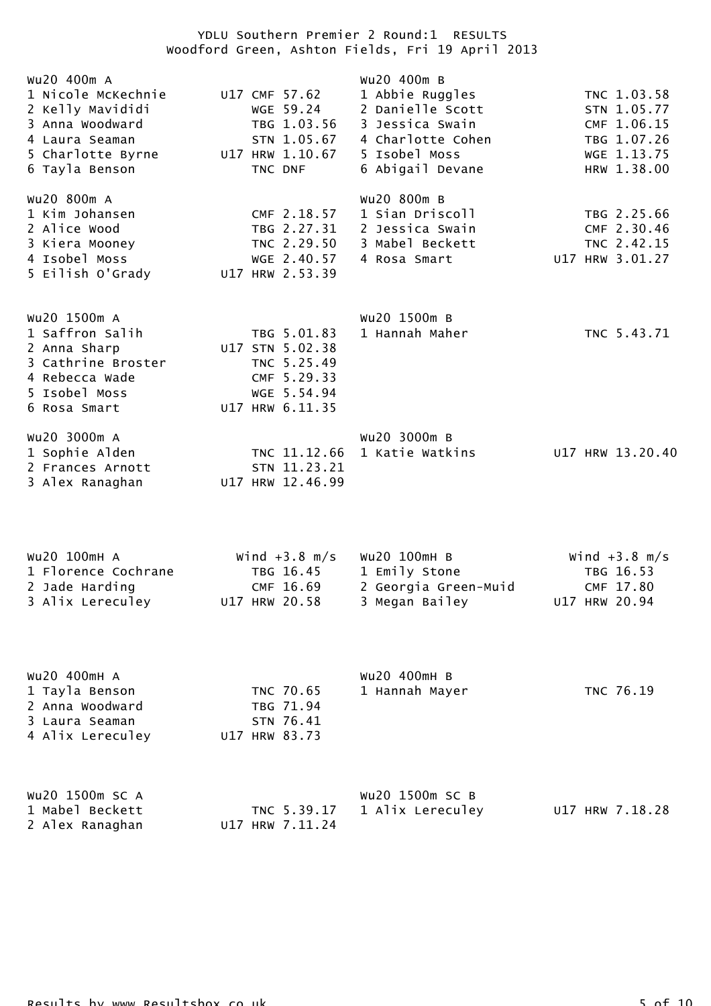| Wu20 400m A<br>1 Nicole McKechnie<br>2 Kelly Mavididi<br>3 Anna Woodward<br>4 Laura Seaman<br>5 Charlotte Byrne<br>6 Tayla Benson | U17 CMF 57.62<br>WGE 59.24<br>TBG 1.03.56<br>STN 1.05.67<br>U17 HRW 1.10.67<br>TNC DNF         | Wu20 400m B<br>1 Abbie Ruggles<br>2 Danielle Scott<br>3 Jessica Swain<br>4 Charlotte Cohen<br>5 Isobel Moss<br>6 Abigail Devane | TNC 1.03.58<br>STN 1.05.77<br>CMF 1.06.15<br>TBG 1.07.26<br>WGE 1.13.75<br>HRW 1.38.00 |
|-----------------------------------------------------------------------------------------------------------------------------------|------------------------------------------------------------------------------------------------|---------------------------------------------------------------------------------------------------------------------------------|----------------------------------------------------------------------------------------|
| Wu20 800m A<br>1 Kim Johansen<br>2 Alice Wood<br>3 Kiera Mooney<br>4 Isobel Moss<br>5 Eilish O'Grady                              | CMF 2.18.57<br>TBG 2.27.31<br>TNC 2.29.50<br>WGE 2.40.57<br>U17 HRW 2.53.39                    | Wu20 800m B<br>1 Sian Driscoll<br>2 Jessica Swain<br>3 Mabel Beckett<br>4 Rosa Smart                                            | TBG 2.25.66<br>CMF 2.30.46<br>TNC 2.42.15<br>U17 HRW 3.01.27                           |
| Wu20 1500m A<br>1 Saffron Salih<br>2 Anna Sharp<br>3 Cathrine Broster<br>4 Rebecca Wade<br>5 Isobel Moss<br>6 Rosa Smart          | TBG 5.01.83<br>U17 STN 5.02.38<br>TNC 5.25.49<br>CMF 5.29.33<br>WGE 5.54.94<br>U17 HRW 6.11.35 | Wu20 1500m B<br>1 Hannah Maher                                                                                                  | TNC 5.43.71                                                                            |
| WU20 3000m A<br>1 Sophie Alden<br>2 Frances Arnott<br>3 Alex Ranaghan                                                             | TNC 11.12.66<br>STN 11.23.21<br>U17 HRW 12.46.99                                               | Wu20 3000m B<br>1 Katie Watkins                                                                                                 | U17 HRW 13.20.40                                                                       |
| Wu20 100mH A<br>1 Florence Cochrane<br>2 Jade Harding<br>3 Alix Lereculey                                                         | Wind $+3.8$ m/s<br>TBG 16.45<br>CMF 16.69<br>U17 HRW 20.58                                     | Wu20 100mH B<br>1 Emily Stone<br>2 Georgia Green-Muid<br>3 Megan Bailey                                                         | Wind $+3.8$ m/s<br>TBG 16.53<br>CMF 17.80<br>U17 HRW 20.94                             |
| WU20 400mH A<br>1 Tayla Benson<br>2 Anna Woodward<br>3 Laura Seaman<br>4 Alix Lereculey                                           | TNC 70.65<br>TBG 71.94<br>STN 76.41<br>U17 HRW 83.73                                           | Wu20 400mH B<br>1 Hannah Mayer                                                                                                  | TNC 76.19                                                                              |
| Wu20 1500m SC A<br>1 Mabel Beckett<br>2 Alex Ranaghan                                                                             | TNC 5.39.17<br>U17 HRW 7.11.24                                                                 | Wu20 1500m SC B<br>1 Alix Lereculey                                                                                             | U17 HRW 7.18.28                                                                        |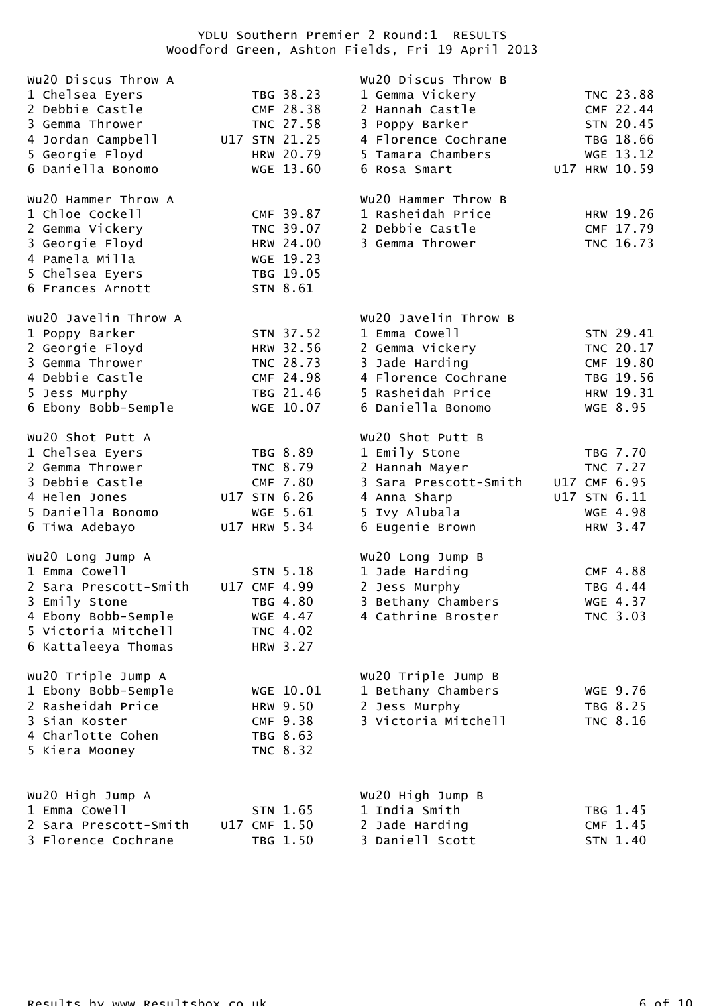| Wu20 Discus Throw A<br>1 Chelsea Eyers<br>2 Debbie Castle<br>3 Gemma Thrower<br>4 Jordan Campbell<br>5 Georgie Floyd<br>6 Daniella Bonomo        | TBG 38.23<br>CMF 28.38<br>TNC 27.58<br>U17 STN 21.25<br>HRW 20.79<br>WGE 13.60 | Wu20 Discus Throw B<br>1 Gemma Vickery<br>2 Hannah Castle<br>3 Poppy Barker<br>4 Florence Cochrane<br>5 Tamara Chambers<br>6 Rosa Smart     |                              | TNC 23.88<br>CMF 22.44<br>STN 20.45<br>TBG 18.66<br>WGE 13.12<br>U17 HRW 10.59 |
|--------------------------------------------------------------------------------------------------------------------------------------------------|--------------------------------------------------------------------------------|---------------------------------------------------------------------------------------------------------------------------------------------|------------------------------|--------------------------------------------------------------------------------|
| Wu20 Hammer Throw A<br>1 Chloe Cockell<br>2 Gemma Vickery<br>3 Georgie Floyd<br>4 Pamela Milla<br>5 Chelsea Eyers<br>6 Frances Arnott            | CMF 39.87<br>TNC 39.07<br>HRW 24.00<br>WGE 19.23<br>TBG 19.05<br>STN 8.61      | Wu20 Hammer Throw B<br>1 Rasheidah Price<br>2 Debbie Castle<br>3 Gemma Thrower                                                              |                              | HRW 19.26<br>CMF 17.79<br>TNC 16.73                                            |
| Wu20 Javelin Throw A<br>1 Poppy Barker<br>2 Georgie Floyd<br>3 Gemma Thrower<br>4 Debbie Castle<br>5 Jess Murphy<br>6 Ebony Bobb-Semple          | STN 37.52<br>HRW 32.56<br>TNC 28.73<br>CMF 24.98<br>TBG 21.46<br>WGE 10.07     | Wu20 Javelin Throw B<br>1 Emma Cowell<br>2 Gemma Vickery<br>3 Jade Harding<br>4 Florence Cochrane<br>5 Rasheidah Price<br>6 Daniella Bonomo |                              | STN 29.41<br>TNC 20.17<br>CMF 19.80<br>TBG 19.56<br>HRW 19.31<br>WGE 8.95      |
| Wu20 Shot Putt A<br>1 Chelsea Eyers<br>2 Gemma Thrower<br>3 Debbie Castle<br>4 Helen Jones<br>5 Daniella Bonomo<br>6 Tiwa Adebayo                | TBG 8.89<br>TNC 8.79<br>CMF 7.80<br>U17 STN 6.26<br>WGE 5.61<br>U17 HRW 5.34   | Wu20 Shot Putt B<br>1 Emily Stone<br>2 Hannah Mayer<br>3 Sara Prescott-Smith<br>4 Anna Sharp<br>5 Ivy Alubala<br>6 Eugenie Brown            | U17 CMF 6.95<br>U17 STN 6.11 | TBG 7.70<br><b>TNC 7.27</b><br>WGE 4.98<br>HRW 3.47                            |
| Wu20 Long Jump A<br>1 Emma Cowell<br>2 Sara Prescott-Smith<br>3 Emily Stone<br>4 Ebony Bobb-Semple<br>5 Victoria Mitchell<br>6 Kattaleeya Thomas | STN 5.18<br>U17 CMF 4.99<br>TBG 4.80<br>WGE 4.47<br>TNC 4.02<br>HRW 3.27       | Wu20 Long Jump B<br>1 Jade Harding<br>2 Jess Murphy<br>3 Bethany Chambers<br>4 Cathrine Broster                                             |                              | CMF 4.88<br>TBG 4.44<br>WGE 4.37<br>TNC 3.03                                   |
| Wu20 Triple Jump A<br>1 Ebony Bobb-Semple<br>2 Rasheidah Price<br>3 Sian Koster<br>4 Charlotte Cohen<br>5 Kiera Mooney                           | WGE 10.01<br>HRW 9.50<br>CMF 9.38<br>TBG 8.63<br>TNC 8.32                      | Wu20 Triple Jump B<br>1 Bethany Chambers<br>2 Jess Murphy<br>3 Victoria Mitchell                                                            |                              | WGE 9.76<br>TBG 8.25<br>TNC 8.16                                               |
| Wu20 High Jump A<br>1 Emma Cowell<br>2 Sara Prescott-Smith<br>3 Florence Cochrane                                                                | STN 1.65<br>U17 CMF 1.50<br>TBG 1.50                                           | Wu20 High Jump B<br>1 India Smith<br>2 Jade Harding<br>3 Daniell Scott                                                                      |                              | TBG 1.45<br>CMF 1.45<br>STN 1.40                                               |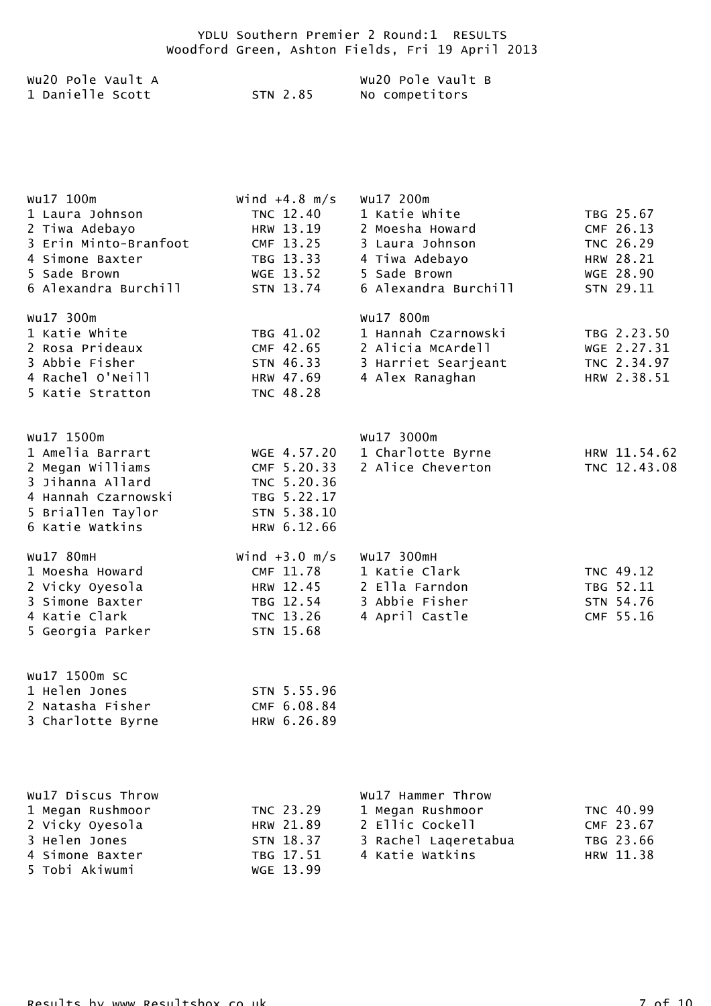| Wu2O Pole Vault A |          | Wu2O Pole Vault B |
|-------------------|----------|-------------------|
| 1 Danielle Scott  | STN 2.85 | No competitors    |

| Wu17 100m             | Wind $+4.8$ m/s | Wu17 200m            |              |
|-----------------------|-----------------|----------------------|--------------|
| 1 Laura Johnson       | TNC 12.40       | 1 Katie White        | TBG 25.67    |
| 2 Tiwa Adebayo        | HRW 13.19       | 2 Moesha Howard      | CMF 26.13    |
| 3 Erin Minto-Branfoot | CMF 13.25       | 3 Laura Johnson      | TNC 26.29    |
| 4 Simone Baxter       | TBG 13.33       | 4 Tiwa Adebayo       | HRW 28.21    |
| 5 Sade Brown          | WGE 13.52       | 5 Sade Brown         | WGE 28.90    |
| 6 Alexandra Burchill  | STN 13.74       | 6 Alexandra Burchill | STN 29.11    |
| Wu17 300m             |                 | Wu17 800m            |              |
| 1 Katie White         | TBG 41.02       | 1 Hannah Czarnowski  | TBG 2.23.50  |
| 2 Rosa Prideaux       | CMF 42.65       | 2 Alicia McArdell    | WGE 2.27.31  |
| 3 Abbie Fisher        | STN 46.33       | 3 Harriet Searjeant  | TNC 2.34.97  |
| 4 Rachel O'Neill      | HRW 47.69       | 4 Alex Ranaghan      | HRW 2.38.51  |
| 5 Katie Stratton      | TNC 48.28       |                      |              |
|                       |                 |                      |              |
| Wu17 1500m            |                 | Wu17 3000m           |              |
| 1 Amelia Barrart      | WGE 4.57.20     | 1 Charlotte Byrne    | HRW 11.54.62 |
| 2 Megan Williams      | CMF 5.20.33     | 2 Alice Cheverton    | TNC 12.43.08 |
| 3 Jihanna Allard      | TNC 5.20.36     |                      |              |
| 4 Hannah Czarnowski   | TBG 5.22.17     |                      |              |
| 5 Briallen Taylor     | STN 5.38.10     |                      |              |
| 6 Katie Watkins       | HRW 6.12.66     |                      |              |
| Wu17 80mH             | Wind $+3.0$ m/s | Wu17 300mH           |              |
| 1 Moesha Howard       | CMF 11.78       | 1 Katie Clark        | TNC 49.12    |
| 2 Vicky Oyesola       | HRW 12.45       | 2 Ella Farndon       | TBG 52.11    |
| 3 Simone Baxter       | TBG 12.54       | 3 Abbie Fisher       | STN 54.76    |
| 4 Katie Clark         | TNC 13.26       | 4 April Castle       | CMF 55.16    |
| 5 Georgia Parker      | STN 15.68       |                      |              |
| Wu17 1500m SC         |                 |                      |              |
| 1 Helen Jones         | STN 5.55.96     |                      |              |
| 2 Natasha Fisher      | CMF 6.08.84     |                      |              |
| 3 Charlotte Byrne     | HRW 6.26.89     |                      |              |
|                       |                 |                      |              |
|                       |                 |                      |              |
| Wu17 Discus Throw     |                 | Wu17 Hammer Throw    |              |
| 1 Megan Rushmoor      | TNC 23.29       | 1 Megan Rushmoor     | TNC 40.99    |
| 2 Vicky Oyesola       | HRW 21.89       | 2 Ellic Cockell      | CMF 23.67    |
| 3 Helen Jones         | STN 18.37       | 3 Rachel Lageretabua | TBG 23.66    |
| 4 Simone Baxter       | TBG 17.51       | 4 Katie Watkins      | HRW 11.38    |
| 5 Tobi Akiwumi        | WGE 13.99       |                      |              |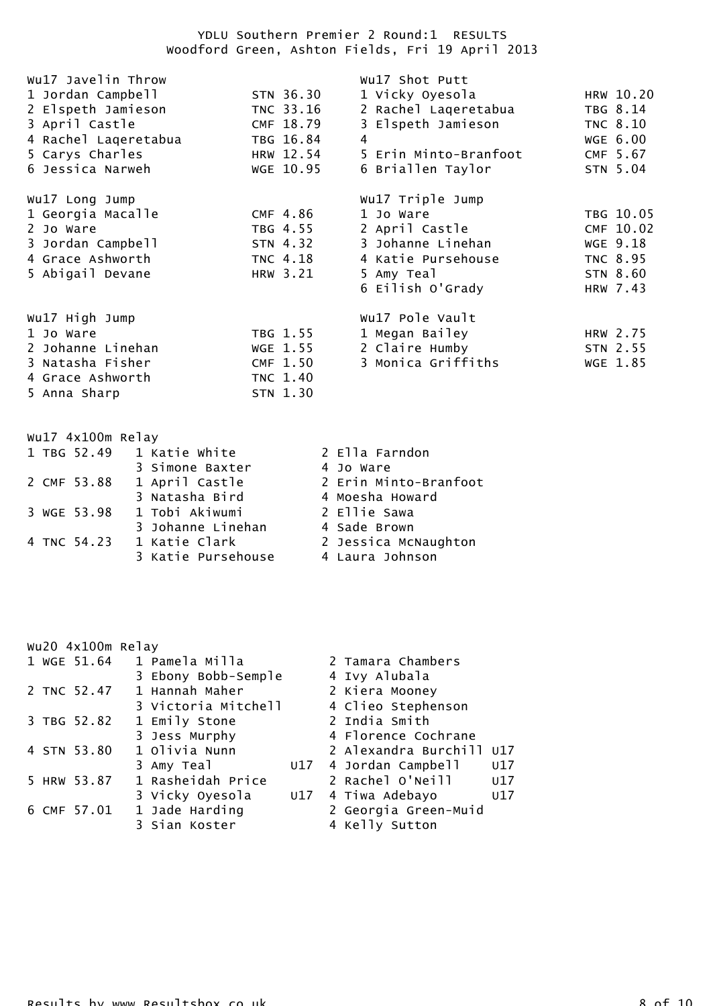| Wu17 Javelin Throw   |           | Wu17 Shot Putt        |                 |
|----------------------|-----------|-----------------------|-----------------|
| 1 Jordan Campbell    | STN 36.30 | 1 Vicky Oyesola       | HRW 10.20       |
| 2 Elspeth Jamieson   | TNC 33.16 | 2 Rachel Laqeretabua  | TBG 8.14        |
| 3 April Castle       | CMF 18.79 | 3 Elspeth Jamieson    | <b>TNC 8.10</b> |
| 4 Rachel Lageretabua | TBG 16.84 | 4                     | WGE 6.00        |
| 5 Carys Charles      | HRW 12.54 | 5 Erin Minto-Branfoot | CMF 5.67        |
| 6 Jessica Narweh     | WGE 10.95 | 6 Briallen Taylor     | STN 5.04        |
| Wu17 Long Jump       |           | Wu17 Triple Jump      |                 |
| 1 Georgia Macalle    | CMF 4.86  | 1 Jo Ware             | TBG 10.05       |
| 2 Jo Ware            | TBG 4.55  | 2 April Castle        | CMF 10.02       |
| 3 Jordan Campbell    | STN 4.32  | 3 Johanne Linehan     | WGE 9.18        |
| 4 Grace Ashworth     | TNC 4.18  | 4 Katie Pursehouse    | <b>TNC 8.95</b> |
| 5 Abigail Devane     | HRW 3.21  | 5 Amy Teal            | STN 8.60        |
|                      |           | 6 Eilish O'Grady      | HRW 7.43        |
| Wu17 High Jump       |           | Wu17 Pole Vault       |                 |
| 1 Jo Ware            | TBG 1.55  | 1 Megan Bailey        | HRW 2.75        |
| 2 Johanne Linehan    | WGE 1.55  | 2 Claire Humby        | STN 2.55        |
| 3 Natasha Fisher     | CMF 1.50  | 3 Monica Griffiths    | WGE 1.85        |
| 4 Grace Ashworth     | TNC 1.40  |                       |                 |
| 5 Anna Sharp         | STN 1.30  |                       |                 |

| Wu17 4x100m Relay |                           |                       |
|-------------------|---------------------------|-----------------------|
|                   | 1 TBG 52.49 1 Katie White | 2 Ella Farndon        |
|                   | 3 Simone Baxter           | 4 Jo Ware             |
| 2 CMF 53.88       | 1 April Castle            | 2 Erin Minto-Branfoot |
|                   | 3 Natasha Bird            | 4 Moesha Howard       |
| 3 WGE 53.98       | 1 Tobi Akiwumi            | 2 Ellie Sawa          |
|                   | 3 Johanne Linehan         | 4 Sade Brown          |
| 4 TNC 54.23       | 1 Katie Clark             | 2 Jessica McNaughton  |
|                   | 3 Katie Pursehouse        | 4 Laura Johnson       |

|  | wu20 4x100m Relay |                            |  |                       |     |
|--|-------------------|----------------------------|--|-----------------------|-----|
|  |                   | 1 WGE 51.64 1 Pamela Milla |  | 2 Tamara Chambers     |     |
|  |                   | 3 Ebony Bobb-Semple        |  | 4 Ivy Alubala         |     |
|  | 2 TNC 52.47       | 1 Hannah Maher             |  | 2 Kiera Mooney        |     |
|  |                   | 3 Victoria Mitchell        |  | 4 Clieo Stephenson    |     |
|  | 3 TBG 52.82       | 1 Emily Stone              |  | 2 India Smith         |     |
|  |                   | 3 Jess Murphy              |  | 4 Florence Cochrane   |     |
|  | 4 STN 53.80       | 1 Olivia Nunn              |  | 2 Alexandra Burchill  | U17 |
|  |                   | 3 Amy Teal                 |  | U17 4 Jordan Campbell | U17 |
|  | 5 HRW 53.87       | 1 Rasheidah Price          |  | 2 Rachel O'Neill      | U17 |
|  |                   | 3 Vicky Oyesola            |  | U17 4 Tiwa Adebayo    | U17 |
|  | 6 CMF 57.01       | 1 Jade Harding             |  | 2 Georgia Green-Muid  |     |
|  |                   | 3 Sian Koster              |  | 4 Kelly Sutton        |     |
|  |                   |                            |  |                       |     |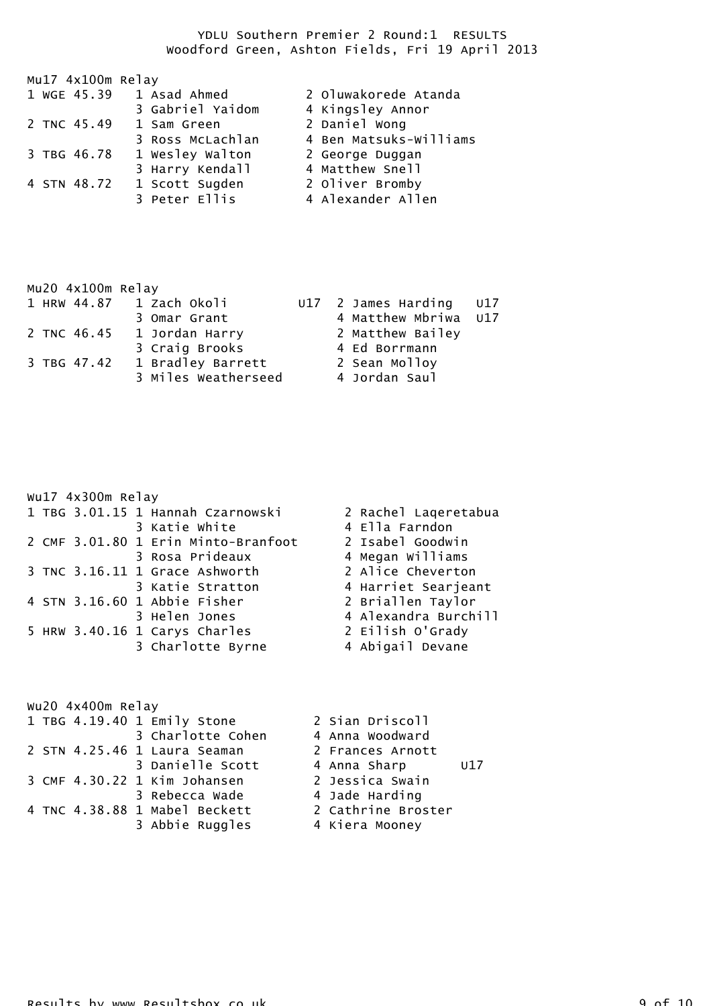|  | Mu17 4x100m Relay |                  |                        |
|--|-------------------|------------------|------------------------|
|  | 1 WGE 45.39       | 1 Asad Ahmed     | 2 Oluwakorede Atanda   |
|  |                   | 3 Gabriel Yaidom | 4 Kingsley Annor       |
|  | 2 TNC 45.49       | 1 Sam Green      | 2 Daniel Wong          |
|  |                   | 3 Ross McLachlan | 4 Ben Matsuks-Williams |
|  | 3 TBG 46.78       | 1 Wesley Walton  | 2 George Duggan        |
|  |                   | 3 Harry Kendall  | 4 Matthew Snell        |
|  | 4 STN 48.72       | 1 Scott Sugden   | 2 Oliver Bromby        |
|  |                   | 3 Peter Ellis    | 4 Alexander Allen      |

| Mu20 4x100m Relay |  |  |                            |  |                         |  |
|-------------------|--|--|----------------------------|--|-------------------------|--|
|                   |  |  | 1 HRW 44.87 1 Zach Okoli   |  | U17 2 James Harding U17 |  |
|                   |  |  | 3 Omar Grant               |  | 4 Matthew Mbriwa U17    |  |
|                   |  |  | 2 TNC 46.45 1 Jordan Harry |  | 2 Matthew Bailey        |  |
|                   |  |  | 3 Craig Brooks             |  | 4 Ed Borrmann           |  |
| 3 TBG 47.42       |  |  | 1 Bradley Barrett          |  | 2 Sean Molloy           |  |
|                   |  |  | 3 Miles Weatherseed        |  | 4 Jordan Saul           |  |

|  | wu17 4x300m Relay |                                     |                      |
|--|-------------------|-------------------------------------|----------------------|
|  |                   | 1 TBG 3.01.15 1 Hannah Czarnowski   | 2 Rachel Lageretabua |
|  |                   | 3 Katie White                       | 4 Ella Farndon       |
|  |                   | 2 CMF 3.01.80 1 Erin Minto-Branfoot | 2 Isabel Goodwin     |
|  |                   | 3 Rosa Prideaux                     | 4 Megan Williams     |
|  |                   | 3 TNC 3.16.11 1 Grace Ashworth      | 2 Alice Cheverton    |
|  |                   | 3 Katie Stratton                    | 4 Harriet Searjeant  |
|  |                   | 4 STN 3.16.60 1 Abbie Fisher        | 2 Briallen Taylor    |
|  |                   | 3 Helen Jones                       | 4 Alexandra Burchill |
|  |                   | 5 HRW 3.40.16 1 Carys Charles       | 2 Eilish O'Grady     |
|  |                   | 3 Charlotte Byrne                   | 4 Abigail Devane     |
|  |                   |                                     |                      |

| wu20 4x400m Relay           |                               |                     |  |  |
|-----------------------------|-------------------------------|---------------------|--|--|
| 1 TBG 4.19.40 1 Emily Stone |                               | 2 Sian Driscoll     |  |  |
|                             | 3 Charlotte Cohen             | 4 Anna Woodward     |  |  |
|                             | 2 STN 4.25.46 1 Laura Seaman  | 2 Frances Arnott    |  |  |
|                             | 3 Danielle Scott              | 4 Anna Sharp<br>U17 |  |  |
|                             | 3 CMF 4.30.22 1 Kim Johansen  | 2 Jessica Swain     |  |  |
|                             | 3 Rebecca Wade                | 4 Jade Harding      |  |  |
|                             | 4 TNC 4.38.88 1 Mabel Beckett | 2 Cathrine Broster  |  |  |
|                             | 3 Abbie Ruggles               | 4 Kiera Mooney      |  |  |
|                             |                               |                     |  |  |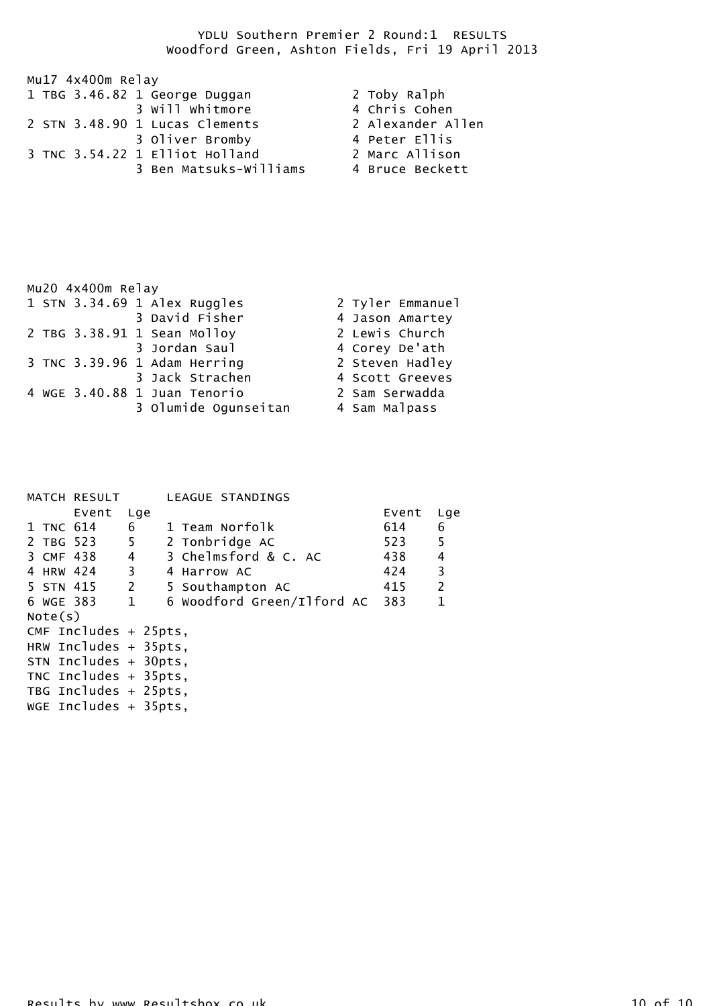| Mu17 4x400m Relay              |                   |  |  |  |
|--------------------------------|-------------------|--|--|--|
| 1 TBG 3.46.82 1 George Duggan  | 2 Toby Ralph      |  |  |  |
| 3 Will Whitmore                | 4 Chris Cohen     |  |  |  |
| 2 STN 3.48.90 1 Lucas Clements | 2 Alexander Allen |  |  |  |
| 3 Oliver Bromby                | 4 Peter Ellis     |  |  |  |
| 3 TNC 3.54.22 1 Elliot Holland | 2 Marc Allison    |  |  |  |
| 3 Ben Matsuks-Williams         | 4 Bruce Beckett   |  |  |  |

| Mu20 4x400m Relay            |                  |  |  |
|------------------------------|------------------|--|--|
| 1 STN 3.34.69 1 Alex Ruggles | 2 Tyler Emmanuel |  |  |
| 3 David Fisher               | 4 Jason Amartey  |  |  |
| 2 TBG 3.38.91 1 Sean Molloy  | 2 Lewis Church   |  |  |
| 3 Jordan Saul                | 4 Corey De'ath   |  |  |
| 3 TNC 3.39.96 1 Adam Herring | 2 Steven Hadley  |  |  |
| 3 Jack Strachen              | 4 Scott Greeves  |  |  |
| 4 WGE 3.40.88 1 Juan Tenorio | 2 Sam Serwadda   |  |  |
| 3 Olumide Ogunseitan         | 4 Sam Malpass    |  |  |

|           | MATCH RESULT             |     | LEAGUE STANDINGS           |       |                |
|-----------|--------------------------|-----|----------------------------|-------|----------------|
|           | Event                    | Lge |                            | Event | Lge            |
| 1 TNC 614 |                          | 6   | 1 Team Norfolk             | 614   | 6              |
| 2 TBG 523 |                          | 5   | 2 Tonbridge AC             | 523   | 5              |
|           | 3 CMF 438                | 4   | 3 Chelmsford & C. AC       | 438   | 4              |
| 4 HRW 424 | $\overline{\phantom{a}}$ |     | 4 Harrow AC                | 424   | $\overline{3}$ |
| 5 STN 415 |                          | 2   | 5 Southampton AC           | 415   | $\overline{2}$ |
| 6 WGE 383 | $\overline{1}$           |     | 6 Woodford Green/Ilford AC | 383   | $\mathbf{1}$   |
| Note(s)   |                          |     |                            |       |                |
|           | CMF Includes $+$ 25pts,  |     |                            |       |                |
|           | HRW Includes $+$ 35pts,  |     |                            |       |                |
|           | STN Includes + 30pts,    |     |                            |       |                |
|           | TNC Includes $+$ 35pts,  |     |                            |       |                |
|           | TBG Includes + 25pts,    |     |                            |       |                |
|           | WGE Includes $+$ 35pts,  |     |                            |       |                |